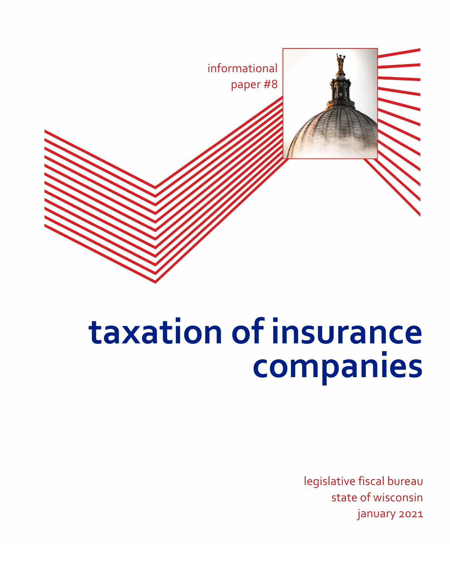

# **taxation of insurance companies**

legislative fiscal bureau state of wisconsin january 2021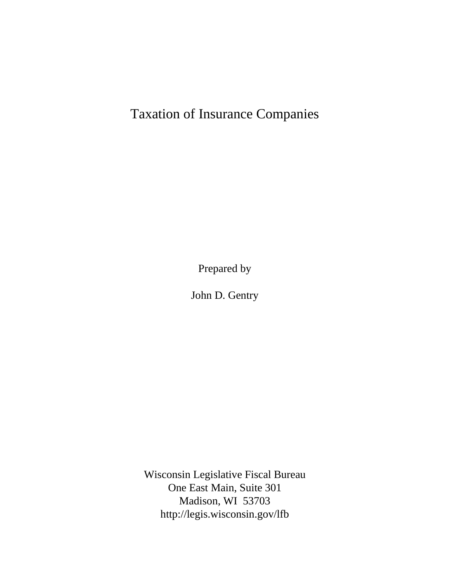## Taxation of Insurance Companies

Prepared by

John D. Gentry

Wisconsin Legislative Fiscal Bureau One East Main, Suite 301 Madison, WI 53703 [http://legis.wisconsin.gov/lfb](http://legis.wisconsin.gov/lfb/)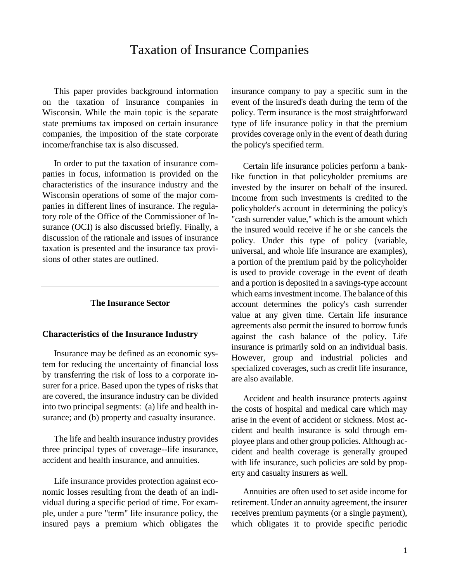## Taxation of Insurance Companies

This paper provides background information on the taxation of insurance companies in Wisconsin. While the main topic is the separate state premiums tax imposed on certain insurance companies, the imposition of the state corporate income/franchise tax is also discussed.

In order to put the taxation of insurance companies in focus, information is provided on the characteristics of the insurance industry and the Wisconsin operations of some of the major companies in different lines of insurance. The regulatory role of the Office of the Commissioner of Insurance (OCI) is also discussed briefly. Finally, a discussion of the rationale and issues of insurance taxation is presented and the insurance tax provisions of other states are outlined.

#### **The Insurance Sector**

#### **Characteristics of the Insurance Industry**

Insurance may be defined as an economic system for reducing the uncertainty of financial loss by transferring the risk of loss to a corporate insurer for a price. Based upon the types of risks that are covered, the insurance industry can be divided into two principal segments: (a) life and health insurance; and (b) property and casualty insurance.

The life and health insurance industry provides three principal types of coverage--life insurance, accident and health insurance, and annuities.

Life insurance provides protection against economic losses resulting from the death of an individual during a specific period of time. For example, under a pure "term" life insurance policy, the insured pays a premium which obligates the insurance company to pay a specific sum in the event of the insured's death during the term of the policy. Term insurance is the most straightforward type of life insurance policy in that the premium provides coverage only in the event of death during the policy's specified term.

Certain life insurance policies perform a banklike function in that policyholder premiums are invested by the insurer on behalf of the insured. Income from such investments is credited to the policyholder's account in determining the policy's "cash surrender value," which is the amount which the insured would receive if he or she cancels the policy. Under this type of policy (variable, universal, and whole life insurance are examples), a portion of the premium paid by the policyholder is used to provide coverage in the event of death and a portion is deposited in a savings-type account which earns investment income. The balance of this account determines the policy's cash surrender value at any given time. Certain life insurance agreements also permit the insured to borrow funds against the cash balance of the policy. Life insurance is primarily sold on an individual basis. However, group and industrial policies and specialized coverages, such as credit life insurance, are also available.

Accident and health insurance protects against the costs of hospital and medical care which may arise in the event of accident or sickness. Most accident and health insurance is sold through employee plans and other group policies. Although accident and health coverage is generally grouped with life insurance, such policies are sold by property and casualty insurers as well.

Annuities are often used to set aside income for retirement. Under an annuity agreement, the insurer receives premium payments (or a single payment), which obligates it to provide specific periodic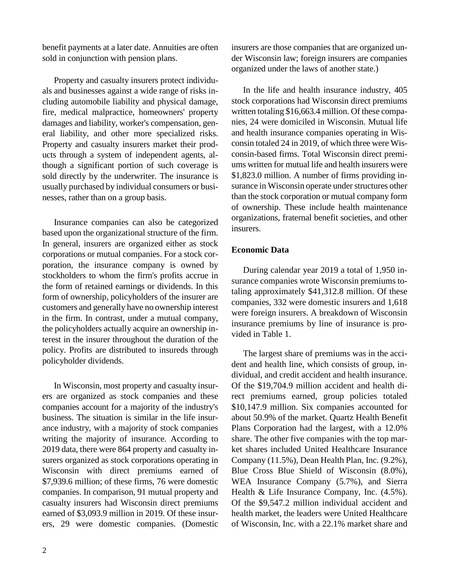benefit payments at a later date. Annuities are often sold in conjunction with pension plans.

Property and casualty insurers protect individuals and businesses against a wide range of risks including automobile liability and physical damage, fire, medical malpractice, homeowners' property damages and liability, worker's compensation, general liability, and other more specialized risks. Property and casualty insurers market their products through a system of independent agents, although a significant portion of such coverage is sold directly by the underwriter. The insurance is usually purchased by individual consumers or businesses, rather than on a group basis.

Insurance companies can also be categorized based upon the organizational structure of the firm. In general, insurers are organized either as stock corporations or mutual companies. For a stock corporation, the insurance company is owned by stockholders to whom the firm's profits accrue in the form of retained earnings or dividends. In this form of ownership, policyholders of the insurer are customers and generally have no ownership interest in the firm. In contrast, under a mutual company, the policyholders actually acquire an ownership interest in the insurer throughout the duration of the policy. Profits are distributed to insureds through policyholder dividends.

In Wisconsin, most property and casualty insurers are organized as stock companies and these companies account for a majority of the industry's business. The situation is similar in the life insurance industry, with a majority of stock companies writing the majority of insurance. According to 2019 data, there were 864 property and casualty insurers organized as stock corporations operating in Wisconsin with direct premiums earned of \$7,939.6 million; of these firms, 76 were domestic companies. In comparison, 91 mutual property and casualty insurers had Wisconsin direct premiums earned of \$3,093.9 million in 2019. Of these insurers, 29 were domestic companies. (Domestic

insurers are those companies that are organized under Wisconsin law; foreign insurers are companies organized under the laws of another state.)

In the life and health insurance industry, 405 stock corporations had Wisconsin direct premiums written totaling \$16,663.4 million. Of these companies, 24 were domiciled in Wisconsin. Mutual life and health insurance companies operating in Wisconsin totaled 24 in 2019, of which three were Wisconsin-based firms. Total Wisconsin direct premiums written for mutual life and health insurers were \$1,823.0 million. A number of firms providing insurance in Wisconsin operate under structures other than the stock corporation or mutual company form of ownership. These include health maintenance organizations, fraternal benefit societies, and other insurers.

#### **Economic Data**

During calendar year 2019 a total of 1,950 insurance companies wrote Wisconsin premiums totaling approximately \$41,312.8 million. Of these companies, 332 were domestic insurers and 1,618 were foreign insurers. A breakdown of Wisconsin insurance premiums by line of insurance is provided in Table 1.

The largest share of premiums was in the accident and health line, which consists of group, individual, and credit accident and health insurance. Of the \$19,704.9 million accident and health direct premiums earned, group policies totaled \$10,147.9 million. Six companies accounted for about 50.9% of the market. Quartz Health Benefit Plans Corporation had the largest, with a 12.0% share. The other five companies with the top market shares included United Healthcare Insurance Company (11.5%), Dean Health Plan, Inc. (9.2%), Blue Cross Blue Shield of Wisconsin (8.0%), WEA Insurance Company (5.7%), and Sierra Health & Life Insurance Company, Inc. (4.5%). Of the \$9,547.2 million individual accident and health market, the leaders were United Healthcare of Wisconsin, Inc. with a 22.1% market share and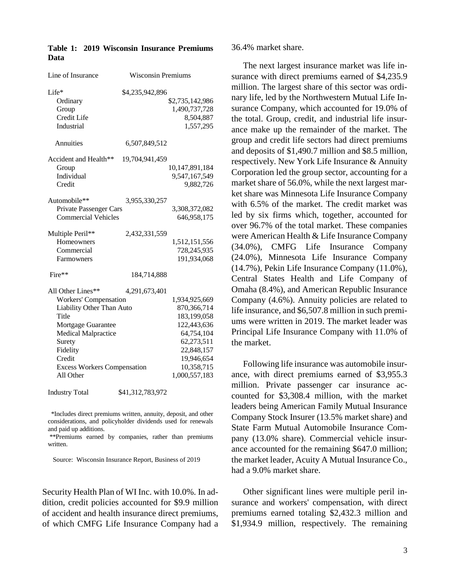| Line of Insurance                                                                                                                                                                                                       | <b>Wisconsin Premiums</b> |                                                                                                                                                   |
|-------------------------------------------------------------------------------------------------------------------------------------------------------------------------------------------------------------------------|---------------------------|---------------------------------------------------------------------------------------------------------------------------------------------------|
| $Life*$<br>Ordinary<br>Group<br>Credit Life<br>Industrial                                                                                                                                                               | \$4,235,942,896           | \$2,735,142,986<br>1,490,737,728<br>8,504,887<br>1,557,295                                                                                        |
| Annuities                                                                                                                                                                                                               | 6,507,849,512             |                                                                                                                                                   |
| Accident and Health**<br>Group<br>Individual<br>Credit                                                                                                                                                                  | 19,704,941,459            | 10,147,891,184<br>9,547,167,549<br>9,882,726                                                                                                      |
| Automobile**<br>Private Passenger Cars<br><b>Commercial Vehicles</b>                                                                                                                                                    | 3,955,330,257             | 3,308,372,082<br>646,958,175                                                                                                                      |
| Multiple Peril**<br>Homeowners<br>Commercial<br>Farmowners                                                                                                                                                              | 2,432,331,559             | 1,512,151,556<br>728,245,935<br>191,934,068                                                                                                       |
| $Fire**$                                                                                                                                                                                                                | 184,714,888               |                                                                                                                                                   |
| All Other Lines**<br>Workers' Compensation<br>Liability Other Than Auto<br>Title<br>Mortgage Guarantee<br><b>Medical Malpractice</b><br>Surety<br>Fidelity<br>Credit<br><b>Excess Workers Compensation</b><br>All Other | 4,291,673,401             | 1,934,925,669<br>870,366,714<br>183,199,058<br>122,443,636<br>64,754,104<br>62,273,511<br>22,848,157<br>19,946,654<br>10,358,715<br>1,000,557,183 |
| <b>Industry Total</b>                                                                                                                                                                                                   | \$41,312,783,972          |                                                                                                                                                   |

|      |  | Table 1: 2019 Wisconsin Insurance Premiums |
|------|--|--------------------------------------------|
| Data |  |                                            |

 \*Includes direct premiums written, annuity, deposit, and other considerations, and policyholder dividends used for renewals and paid up additions.

\*\*Premiums earned by companies, rather than premiums written.

Source: Wisconsin Insurance Report, Business of 2019

Security Health Plan of WI Inc. with 10.0%. In addition, credit policies accounted for \$9.9 million of accident and health insurance direct premiums, of which CMFG Life Insurance Company had a

#### 36.4% market share.

The next largest insurance market was life insurance with direct premiums earned of \$4,235.9 million. The largest share of this sector was ordinary life, led by the Northwestern Mutual Life Insurance Company, which accounted for 19.0% of the total. Group, credit, and industrial life insurance make up the remainder of the market. The group and credit life sectors had direct premiums and deposits of \$1,490.7 million and \$8.5 million, respectively. New York Life Insurance & Annuity Corporation led the group sector, accounting for a market share of 56.0%, while the next largest market share was Minnesota Life Insurance Company with 6.5% of the market. The credit market was led by six firms which, together, accounted for over 96.7% of the total market. These companies were American Health & Life Insurance Company (34.0%), CMFG Life Insurance Company (24.0%), Minnesota Life Insurance Company (14.7%), Pekin Life Insurance Company (11.0%), Central States Health and Life Company of Omaha (8.4%), and American Republic Insurance Company (4.6%). Annuity policies are related to life insurance, and \$6,507.8 million in such premiums were written in 2019. The market leader was Principal Life Insurance Company with 11.0% of the market.

Following life insurance was automobile insurance, with direct premiums earned of \$3,955.3 million. Private passenger car insurance accounted for \$3,308.4 million, with the market leaders being American Family Mutual Insurance Company Stock Insurer (13.5% market share) and State Farm Mutual Automobile Insurance Company (13.0% share). Commercial vehicle insurance accounted for the remaining \$647.0 million; the market leader, Acuity A Mutual Insurance Co., had a 9.0% market share.

Other significant lines were multiple peril insurance and workers' compensation, with direct premiums earned totaling \$2,432.3 million and \$1,934.9 million, respectively. The remaining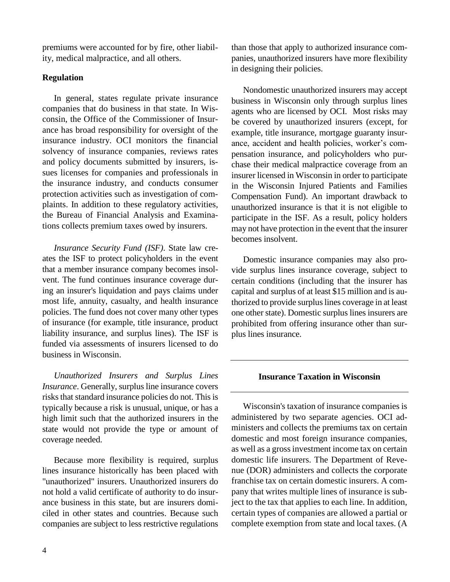premiums were accounted for by fire, other liability, medical malpractice, and all others.

#### **Regulation**

In general, states regulate private insurance companies that do business in that state. In Wisconsin, the Office of the Commissioner of Insurance has broad responsibility for oversight of the insurance industry. OCI monitors the financial solvency of insurance companies, reviews rates and policy documents submitted by insurers, issues licenses for companies and professionals in the insurance industry, and conducts consumer protection activities such as investigation of complaints. In addition to these regulatory activities, the Bureau of Financial Analysis and Examinations collects premium taxes owed by insurers.

*Insurance Security Fund (ISF)*. State law creates the ISF to protect policyholders in the event that a member insurance company becomes insolvent. The fund continues insurance coverage during an insurer's liquidation and pays claims under most life, annuity, casualty, and health insurance policies. The fund does not cover many other types of insurance (for example, title insurance, product liability insurance, and surplus lines). The ISF is funded via assessments of insurers licensed to do business in Wisconsin.

*Unauthorized Insurers and Surplus Lines Insurance*. Generally, surplus line insurance covers risks that standard insurance policies do not. This is typically because a risk is unusual, unique, or has a high limit such that the authorized insurers in the state would not provide the type or amount of coverage needed.

Because more flexibility is required, surplus lines insurance historically has been placed with "unauthorized" insurers. Unauthorized insurers do not hold a valid certificate of authority to do insurance business in this state, but are insurers domiciled in other states and countries. Because such companies are subject to less restrictive regulations

than those that apply to authorized insurance companies, unauthorized insurers have more flexibility in designing their policies.

Nondomestic unauthorized insurers may accept business in Wisconsin only through surplus lines agents who are licensed by OCI. Most risks may be covered by unauthorized insurers (except, for example, title insurance, mortgage guaranty insurance, accident and health policies, worker's compensation insurance, and policyholders who purchase their medical malpractice coverage from an insurer licensed in Wisconsin in order to participate in the Wisconsin Injured Patients and Families Compensation Fund). An important drawback to unauthorized insurance is that it is not eligible to participate in the ISF. As a result, policy holders may not have protection in the event that the insurer becomes insolvent.

Domestic insurance companies may also provide surplus lines insurance coverage, subject to certain conditions (including that the insurer has capital and surplus of at least \$15 million and is authorized to provide surplus lines coverage in at least one other state). Domestic surplus lines insurers are prohibited from offering insurance other than surplus lines insurance.

#### **Insurance Taxation in Wisconsin**

Wisconsin's taxation of insurance companies is administered by two separate agencies. OCI administers and collects the premiums tax on certain domestic and most foreign insurance companies, as well as a gross investment income tax on certain domestic life insurers. The Department of Revenue (DOR) administers and collects the corporate franchise tax on certain domestic insurers. A company that writes multiple lines of insurance is subject to the tax that applies to each line. In addition, certain types of companies are allowed a partial or complete exemption from state and local taxes. (A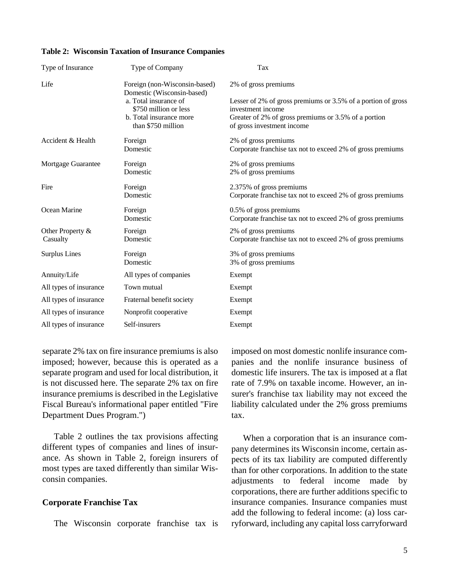#### **Table 2: Wisconsin Taxation of Insurance Companies**

| Type of Insurance      | Type of Company                                             | Tax                                                                                |
|------------------------|-------------------------------------------------------------|------------------------------------------------------------------------------------|
| Life                   | Foreign (non-Wisconsin-based)<br>Domestic (Wisconsin-based) | 2% of gross premiums                                                               |
|                        | a. Total insurance of                                       | Lesser of 2% of gross premiums or 3.5% of a portion of gross                       |
|                        | \$750 million or less                                       | investment income                                                                  |
|                        | b. Total insurance more<br>than \$750 million               | Greater of 2% of gross premiums or 3.5% of a portion<br>of gross investment income |
| Accident & Health      | Foreign                                                     | 2% of gross premiums                                                               |
|                        | Domestic                                                    | Corporate franchise tax not to exceed 2% of gross premiums                         |
| Mortgage Guarantee     | Foreign                                                     | 2% of gross premiums                                                               |
|                        | Domestic                                                    | 2% of gross premiums                                                               |
| Fire                   | Foreign                                                     | 2.375% of gross premiums                                                           |
|                        | Domestic                                                    | Corporate franchise tax not to exceed 2% of gross premiums                         |
| Ocean Marine           | Foreign                                                     | 0.5% of gross premiums                                                             |
|                        | Domestic                                                    | Corporate franchise tax not to exceed 2% of gross premiums                         |
| Other Property &       | Foreign                                                     | 2% of gross premiums                                                               |
| Casualty               | Domestic                                                    | Corporate franchise tax not to exceed 2% of gross premiums                         |
| <b>Surplus Lines</b>   | Foreign                                                     | 3% of gross premiums                                                               |
|                        | Domestic                                                    | 3% of gross premiums                                                               |
| Annuity/Life           | All types of companies                                      | Exempt                                                                             |
| All types of insurance | Town mutual                                                 | Exempt                                                                             |
| All types of insurance | Fraternal benefit society                                   | Exempt                                                                             |
| All types of insurance | Nonprofit cooperative                                       | Exempt                                                                             |
| All types of insurance | Self-insurers                                               | Exempt                                                                             |

separate 2% tax on fire insurance premiums is also imposed; however, because this is operated as a separate program and used for local distribution, it is not discussed here. The separate 2% tax on fire insurance premiums is described in the Legislative Fiscal Bureau's informational paper entitled "Fire Department Dues Program.")

Table 2 outlines the tax provisions affecting different types of companies and lines of insurance. As shown in Table 2, foreign insurers of most types are taxed differently than similar Wisconsin companies.

#### **Corporate Franchise Tax**

The Wisconsin corporate franchise tax is

imposed on most domestic nonlife insurance companies and the nonlife insurance business of domestic life insurers. The tax is imposed at a flat rate of 7.9% on taxable income. However, an insurer's franchise tax liability may not exceed the liability calculated under the 2% gross premiums tax.

When a corporation that is an insurance company determines its Wisconsin income, certain aspects of its tax liability are computed differently than for other corporations. In addition to the state adjustments to federal income made by corporations, there are further additions specific to insurance companies. Insurance companies must add the following to federal income: (a) loss carryforward, including any capital loss carryforward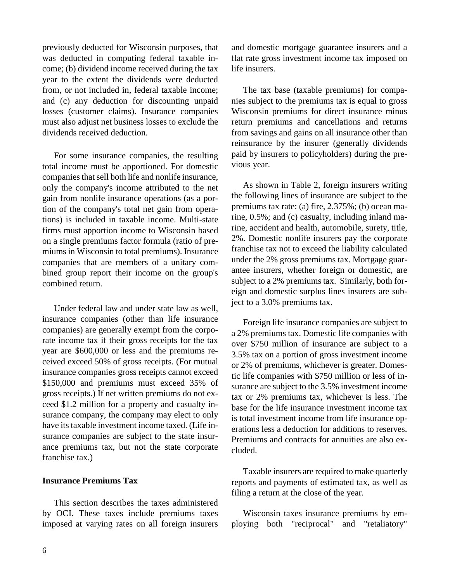previously deducted for Wisconsin purposes, that was deducted in computing federal taxable income; (b) dividend income received during the tax year to the extent the dividends were deducted from, or not included in, federal taxable income; and (c) any deduction for discounting unpaid losses (customer claims). Insurance companies must also adjust net business losses to exclude the dividends received deduction.

For some insurance companies, the resulting total income must be apportioned. For domestic companies that sell both life and nonlife insurance, only the company's income attributed to the net gain from nonlife insurance operations (as a portion of the company's total net gain from operations) is included in taxable income. Multi-state firms must apportion income to Wisconsin based on a single premiums factor formula (ratio of premiums in Wisconsin to total premiums). Insurance companies that are members of a unitary combined group report their income on the group's combined return.

Under federal law and under state law as well, insurance companies (other than life insurance companies) are generally exempt from the corporate income tax if their gross receipts for the tax year are \$600,000 or less and the premiums received exceed 50% of gross receipts. (For mutual insurance companies gross receipts cannot exceed \$150,000 and premiums must exceed 35% of gross receipts.) If net written premiums do not exceed \$1.2 million for a property and casualty insurance company, the company may elect to only have its taxable investment income taxed. (Life insurance companies are subject to the state insurance premiums tax, but not the state corporate franchise tax.)

**Insurance Premiums Tax**

This section describes the taxes administered by OCI. These taxes include premiums taxes imposed at varying rates on all foreign insurers and domestic mortgage guarantee insurers and a flat rate gross investment income tax imposed on life insurers.

The tax base (taxable premiums) for companies subject to the premiums tax is equal to gross Wisconsin premiums for direct insurance minus return premiums and cancellations and returns from savings and gains on all insurance other than reinsurance by the insurer (generally dividends paid by insurers to policyholders) during the previous year.

As shown in Table 2, foreign insurers writing the following lines of insurance are subject to the premiums tax rate: (a) fire, 2.375%; (b) ocean marine, 0.5%; and (c) casualty, including inland marine, accident and health, automobile, surety, title, 2%. Domestic nonlife insurers pay the corporate franchise tax not to exceed the liability calculated under the 2% gross premiums tax. Mortgage guarantee insurers, whether foreign or domestic, are subject to a 2% premiums tax. Similarly, both foreign and domestic surplus lines insurers are subject to a 3.0% premiums tax.

Foreign life insurance companies are subject to a 2% premiums tax. Domestic life companies with over \$750 million of insurance are subject to a 3.5% tax on a portion of gross investment income or 2% of premiums, whichever is greater. Domestic life companies with \$750 million or less of insurance are subject to the 3.5% investment income tax or 2% premiums tax, whichever is less. The base for the life insurance investment income tax is total investment income from life insurance operations less a deduction for additions to reserves. Premiums and contracts for annuities are also excluded.

Taxable insurers are required to make quarterly reports and payments of estimated tax, as well as filing a return at the close of the year.

Wisconsin taxes insurance premiums by employing both "reciprocal" and "retaliatory"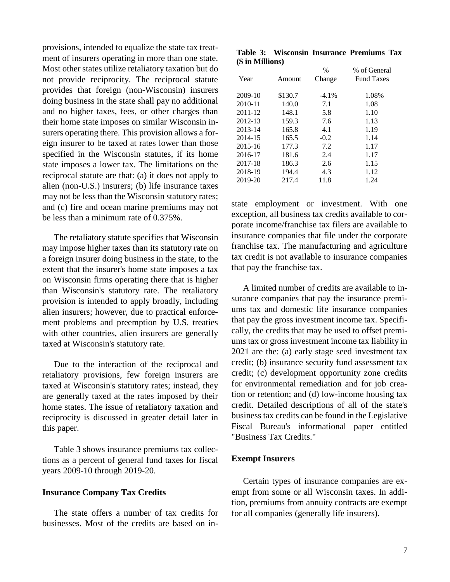provisions, intended to equalize the state tax treatment of insurers operating in more than one state. Most other states utilize retaliatory taxation but do not provide reciprocity. The reciprocal statute provides that foreign (non-Wisconsin) insurers doing business in the state shall pay no additional and no higher taxes, fees, or other charges than their home state imposes on similar Wisconsin insurers operating there. This provision allows a foreign insurer to be taxed at rates lower than those specified in the Wisconsin statutes, if its home state imposes a lower tax. The limitations on the reciprocal statute are that: (a) it does not apply to alien (non-U.S.) insurers; (b) life insurance taxes may not be less than the Wisconsin statutory rates; and (c) fire and ocean marine premiums may not be less than a minimum rate of 0.375%.

The retaliatory statute specifies that Wisconsin may impose higher taxes than its statutory rate on a foreign insurer doing business in the state, to the extent that the insurer's home state imposes a tax on Wisconsin firms operating there that is higher than Wisconsin's statutory rate. The retaliatory provision is intended to apply broadly, including alien insurers; however, due to practical enforcement problems and preemption by U.S. treaties with other countries, alien insurers are generally taxed at Wisconsin's statutory rate.

Due to the interaction of the reciprocal and retaliatory provisions, few foreign insurers are taxed at Wisconsin's statutory rates; instead, they are generally taxed at the rates imposed by their home states. The issue of retaliatory taxation and reciprocity is discussed in greater detail later in this paper.

Table 3 shows insurance premiums tax collections as a percent of general fund taxes for fiscal years 2009-10 through 2019-20.

#### **Insurance Company Tax Credits**

The state offers a number of tax credits for businesses. Most of the credits are based on in-

|                  |  | Table 3: Wisconsin Insurance Premiums Tax |  |
|------------------|--|-------------------------------------------|--|
| (\$ in Millions) |  |                                           |  |

|         |         | $\%$     | % of General      |
|---------|---------|----------|-------------------|
| Year    | Amount  | Change   | <b>Fund Taxes</b> |
|         |         |          |                   |
| 2009-10 | \$130.7 | $-4.1\%$ | 1.08%             |
| 2010-11 | 140.0   | 7.1      | 1.08              |
| 2011-12 | 148.1   | 5.8      | 1.10              |
| 2012-13 | 159.3   | 7.6      | 1.13              |
| 2013-14 | 165.8   | 4.1      | 1.19              |
| 2014-15 | 165.5   | $-0.2$   | 1.14              |
| 2015-16 | 177.3   | 7.2      | 1.17              |
| 2016-17 | 181.6   | 2.4      | 1.17              |
| 2017-18 | 186.3   | 2.6      | 1.15              |
| 2018-19 | 194.4   | 4.3      | 1.12              |
| 2019-20 | 217.4   | 11.8     | 1.24              |
|         |         |          |                   |

state employment or investment. With one exception, all business tax credits available to corporate income/franchise tax filers are available to insurance companies that file under the corporate franchise tax. The manufacturing and agriculture tax credit is not available to insurance companies that pay the franchise tax.

A limited number of credits are available to insurance companies that pay the insurance premiums tax and domestic life insurance companies that pay the gross investment income tax. Specifically, the credits that may be used to offset premiums tax or gross investment income tax liability in 2021 are the: (a) early stage seed investment tax credit; (b) insurance security fund assessment tax credit; (c) development opportunity zone credits for environmental remediation and for job creation or retention; and (d) low-income housing tax credit. Detailed descriptions of all of the state's business tax credits can be found in the Legislative Fiscal Bureau's informational paper entitled "Business Tax Credits."

#### **Exempt Insurers**

Certain types of insurance companies are exempt from some or all Wisconsin taxes. In addition, premiums from annuity contracts are exempt for all companies (generally life insurers).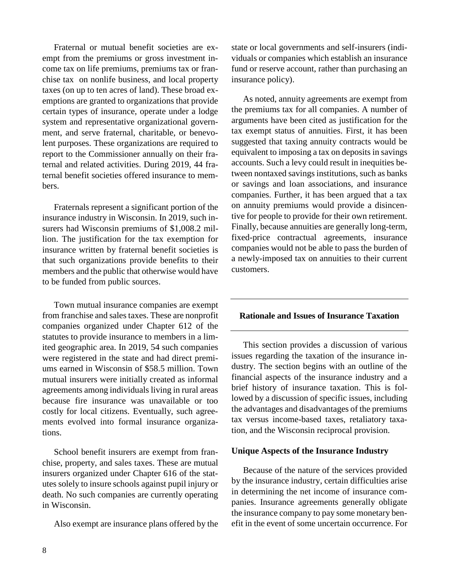Fraternal or mutual benefit societies are exempt from the premiums or gross investment income tax on life premiums, premiums tax or franchise tax on nonlife business, and local property taxes (on up to ten acres of land). These broad exemptions are granted to organizations that provide certain types of insurance, operate under a lodge system and representative organizational government, and serve fraternal, charitable, or benevolent purposes. These organizations are required to report to the Commissioner annually on their fraternal and related activities. During 2019, 44 fraternal benefit societies offered insurance to members.

Fraternals represent a significant portion of the insurance industry in Wisconsin. In 2019, such insurers had Wisconsin premiums of \$1,008.2 million. The justification for the tax exemption for insurance written by fraternal benefit societies is that such organizations provide benefits to their members and the public that otherwise would have to be funded from public sources.

Town mutual insurance companies are exempt from franchise and sales taxes. These are nonprofit companies organized under Chapter 612 of the statutes to provide insurance to members in a limited geographic area. In 2019, 54 such companies were registered in the state and had direct premiums earned in Wisconsin of \$58.5 million. Town mutual insurers were initially created as informal agreements among individuals living in rural areas because fire insurance was unavailable or too costly for local citizens. Eventually, such agreements evolved into formal insurance organizations.

School benefit insurers are exempt from franchise, property, and sales taxes. These are mutual insurers organized under Chapter 616 of the statutes solely to insure schools against pupil injury or death. No such companies are currently operating in Wisconsin.

Also exempt are insurance plans offered by the

state or local governments and self-insurers (individuals or companies which establish an insurance fund or reserve account, rather than purchasing an insurance policy).

As noted, annuity agreements are exempt from the premiums tax for all companies. A number of arguments have been cited as justification for the tax exempt status of annuities. First, it has been suggested that taxing annuity contracts would be equivalent to imposing a tax on deposits in savings accounts. Such a levy could result in inequities between nontaxed savings institutions, such as banks or savings and loan associations, and insurance companies. Further, it has been argued that a tax on annuity premiums would provide a disincentive for people to provide for their own retirement. Finally, because annuities are generally long-term, fixed-price contractual agreements, insurance companies would not be able to pass the burden of a newly-imposed tax on annuities to their current customers.

#### **Rationale and Issues of Insurance Taxation**

This section provides a discussion of various issues regarding the taxation of the insurance industry. The section begins with an outline of the financial aspects of the insurance industry and a brief history of insurance taxation. This is followed by a discussion of specific issues, including the advantages and disadvantages of the premiums tax versus income-based taxes, retaliatory taxation, and the Wisconsin reciprocal provision.

#### **Unique Aspects of the Insurance Industry**

Because of the nature of the services provided by the insurance industry, certain difficulties arise in determining the net income of insurance companies. Insurance agreements generally obligate the insurance company to pay some monetary benefit in the event of some uncertain occurrence. For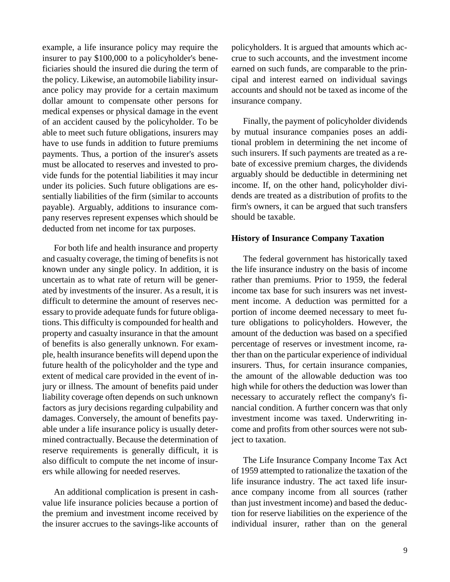example, a life insurance policy may require the insurer to pay \$100,000 to a policyholder's beneficiaries should the insured die during the term of the policy. Likewise, an automobile liability insurance policy may provide for a certain maximum dollar amount to compensate other persons for medical expenses or physical damage in the event of an accident caused by the policyholder. To be able to meet such future obligations, insurers may have to use funds in addition to future premiums payments. Thus, a portion of the insurer's assets must be allocated to reserves and invested to provide funds for the potential liabilities it may incur under its policies. Such future obligations are essentially liabilities of the firm (similar to accounts payable). Arguably, additions to insurance company reserves represent expenses which should be deducted from net income for tax purposes.

For both life and health insurance and property and casualty coverage, the timing of benefits is not known under any single policy. In addition, it is uncertain as to what rate of return will be generated by investments of the insurer. As a result, it is difficult to determine the amount of reserves necessary to provide adequate funds for future obligations. This difficulty is compounded for health and property and casualty insurance in that the amount of benefits is also generally unknown. For example, health insurance benefits will depend upon the future health of the policyholder and the type and extent of medical care provided in the event of injury or illness. The amount of benefits paid under liability coverage often depends on such unknown factors as jury decisions regarding culpability and damages. Conversely, the amount of benefits payable under a life insurance policy is usually determined contractually. Because the determination of reserve requirements is generally difficult, it is also difficult to compute the net income of insurers while allowing for needed reserves.

An additional complication is present in cashvalue life insurance policies because a portion of the premium and investment income received by the insurer accrues to the savings-like accounts of policyholders. It is argued that amounts which accrue to such accounts, and the investment income earned on such funds, are comparable to the principal and interest earned on individual savings accounts and should not be taxed as income of the insurance company.

Finally, the payment of policyholder dividends by mutual insurance companies poses an additional problem in determining the net income of such insurers. If such payments are treated as a rebate of excessive premium charges, the dividends arguably should be deductible in determining net income. If, on the other hand, policyholder dividends are treated as a distribution of profits to the firm's owners, it can be argued that such transfers should be taxable.

#### **History of Insurance Company Taxation**

The federal government has historically taxed the life insurance industry on the basis of income rather than premiums. Prior to 1959, the federal income tax base for such insurers was net investment income. A deduction was permitted for a portion of income deemed necessary to meet future obligations to policyholders. However, the amount of the deduction was based on a specified percentage of reserves or investment income, rather than on the particular experience of individual insurers. Thus, for certain insurance companies, the amount of the allowable deduction was too high while for others the deduction was lower than necessary to accurately reflect the company's financial condition. A further concern was that only investment income was taxed. Underwriting income and profits from other sources were not subject to taxation.

The Life Insurance Company Income Tax Act of 1959 attempted to rationalize the taxation of the life insurance industry. The act taxed life insurance company income from all sources (rather than just investment income) and based the deduction for reserve liabilities on the experience of the individual insurer, rather than on the general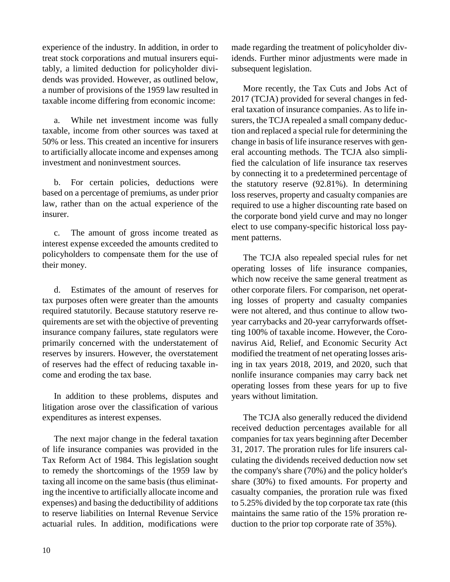experience of the industry. In addition, in order to treat stock corporations and mutual insurers equitably, a limited deduction for policyholder dividends was provided. However, as outlined below, a number of provisions of the 1959 law resulted in taxable income differing from economic income:

a. While net investment income was fully taxable, income from other sources was taxed at 50% or less. This created an incentive for insurers to artificially allocate income and expenses among investment and noninvestment sources.

b. For certain policies, deductions were based on a percentage of premiums, as under prior law, rather than on the actual experience of the insurer.

c. The amount of gross income treated as interest expense exceeded the amounts credited to policyholders to compensate them for the use of their money.

d. Estimates of the amount of reserves for tax purposes often were greater than the amounts required statutorily. Because statutory reserve requirements are set with the objective of preventing insurance company failures, state regulators were primarily concerned with the understatement of reserves by insurers. However, the overstatement of reserves had the effect of reducing taxable income and eroding the tax base.

In addition to these problems, disputes and litigation arose over the classification of various expenditures as interest expenses.

The next major change in the federal taxation of life insurance companies was provided in the Tax Reform Act of 1984. This legislation sought to remedy the shortcomings of the 1959 law by taxing all income on the same basis (thus eliminating the incentive to artificially allocate income and expenses) and basing the deductibility of additions to reserve liabilities on Internal Revenue Service actuarial rules. In addition, modifications were made regarding the treatment of policyholder dividends. Further minor adjustments were made in subsequent legislation.

More recently, the Tax Cuts and Jobs Act of 2017 (TCJA) provided for several changes in federal taxation of insurance companies. As to life insurers, the TCJA repealed a small company deduction and replaced a special rule for determining the change in basis of life insurance reserves with general accounting methods. The TCJA also simplified the calculation of life insurance tax reserves by connecting it to a predetermined percentage of the statutory reserve (92.81%). In determining loss reserves, property and casualty companies are required to use a higher discounting rate based on the corporate bond yield curve and may no longer elect to use company-specific historical loss payment patterns.

The TCJA also repealed special rules for net operating losses of life insurance companies, which now receive the same general treatment as other corporate filers. For comparison, net operating losses of property and casualty companies were not altered, and thus continue to allow twoyear carrybacks and 20-year carryforwards offsetting 100% of taxable income. However, the Coronavirus Aid, Relief, and Economic Security Act modified the treatment of net operating losses arising in tax years 2018, 2019, and 2020, such that nonlife insurance companies may carry back net operating losses from these years for up to five years without limitation.

The TCJA also generally reduced the dividend received deduction percentages available for all companies for tax years beginning after December 31, 2017. The proration rules for life insurers calculating the dividends received deduction now set the company's share (70%) and the policy holder's share (30%) to fixed amounts. For property and casualty companies, the proration rule was fixed to 5.25% divided by the top corporate tax rate (this maintains the same ratio of the 15% proration reduction to the prior top corporate rate of 35%).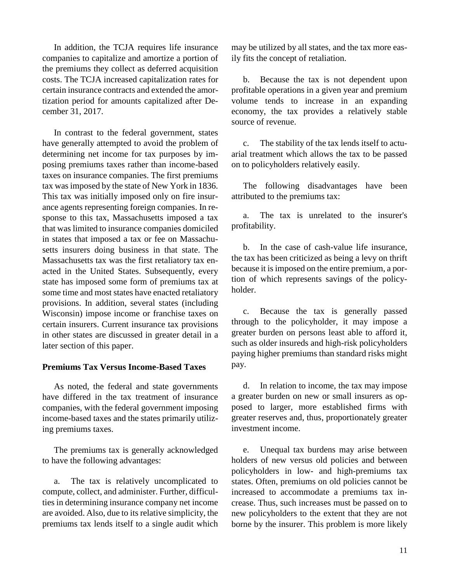In addition, the TCJA requires life insurance companies to capitalize and amortize a portion of the premiums they collect as deferred acquisition costs. The TCJA increased capitalization rates for certain insurance contracts and extended the amortization period for amounts capitalized after December 31, 2017.

In contrast to the federal government, states have generally attempted to avoid the problem of determining net income for tax purposes by imposing premiums taxes rather than income-based taxes on insurance companies. The first premiums tax was imposed by the state of New York in 1836. This tax was initially imposed only on fire insurance agents representing foreign companies. In response to this tax, Massachusetts imposed a tax that was limited to insurance companies domiciled in states that imposed a tax or fee on Massachusetts insurers doing business in that state. The Massachusetts tax was the first retaliatory tax enacted in the United States. Subsequently, every state has imposed some form of premiums tax at some time and most states have enacted retaliatory provisions. In addition, several states (including Wisconsin) impose income or franchise taxes on certain insurers. Current insurance tax provisions in other states are discussed in greater detail in a later section of this paper.

#### **Premiums Tax Versus Income-Based Taxes**

As noted, the federal and state governments have differed in the tax treatment of insurance companies, with the federal government imposing income-based taxes and the states primarily utilizing premiums taxes.

The premiums tax is generally acknowledged to have the following advantages:

a. The tax is relatively uncomplicated to compute, collect, and administer. Further, difficulties in determining insurance company net income are avoided. Also, due to its relative simplicity, the premiums tax lends itself to a single audit which may be utilized by all states, and the tax more easily fits the concept of retaliation.

b. Because the tax is not dependent upon profitable operations in a given year and premium volume tends to increase in an expanding economy, the tax provides a relatively stable source of revenue.

c. The stability of the tax lends itself to actuarial treatment which allows the tax to be passed on to policyholders relatively easily.

The following disadvantages have been attributed to the premiums tax:

a. The tax is unrelated to the insurer's profitability.

b. In the case of cash-value life insurance, the tax has been criticized as being a levy on thrift because it is imposed on the entire premium, a portion of which represents savings of the policyholder.

c. Because the tax is generally passed through to the policyholder, it may impose a greater burden on persons least able to afford it, such as older insureds and high-risk policyholders paying higher premiums than standard risks might pay.

d. In relation to income, the tax may impose a greater burden on new or small insurers as opposed to larger, more established firms with greater reserves and, thus, proportionately greater investment income.

e. Unequal tax burdens may arise between holders of new versus old policies and between policyholders in low- and high-premiums tax states. Often, premiums on old policies cannot be increased to accommodate a premiums tax increase. Thus, such increases must be passed on to new policyholders to the extent that they are not borne by the insurer. This problem is more likely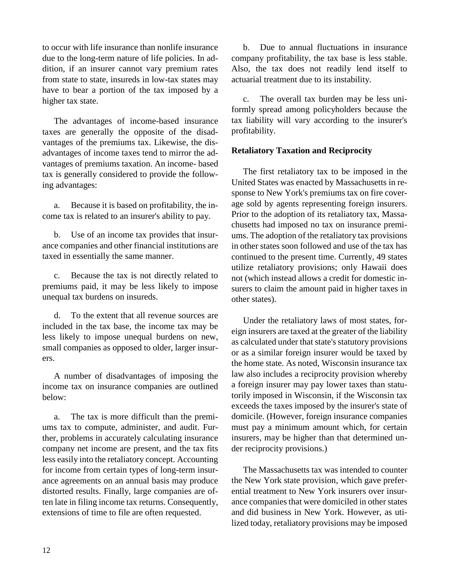to occur with life insurance than nonlife insurance due to the long-term nature of life policies. In addition, if an insurer cannot vary premium rates from state to state, insureds in low-tax states may have to bear a portion of the tax imposed by a higher tax state.

The advantages of income-based insurance taxes are generally the opposite of the disadvantages of the premiums tax. Likewise, the disadvantages of income taxes tend to mirror the advantages of premiums taxation. An income- based tax is generally considered to provide the following advantages:

a. Because it is based on profitability, the income tax is related to an insurer's ability to pay.

b. Use of an income tax provides that insurance companies and other financial institutions are taxed in essentially the same manner.

c. Because the tax is not directly related to premiums paid, it may be less likely to impose unequal tax burdens on insureds.

d. To the extent that all revenue sources are included in the tax base, the income tax may be less likely to impose unequal burdens on new, small companies as opposed to older, larger insurers.

A number of disadvantages of imposing the income tax on insurance companies are outlined below:

a. The tax is more difficult than the premiums tax to compute, administer, and audit. Further, problems in accurately calculating insurance company net income are present, and the tax fits less easily into the retaliatory concept. Accounting for income from certain types of long-term insurance agreements on an annual basis may produce distorted results. Finally, large companies are often late in filing income tax returns. Consequently, extensions of time to file are often requested.

b. Due to annual fluctuations in insurance company profitability, the tax base is less stable. Also, the tax does not readily lend itself to actuarial treatment due to its instability.

c. The overall tax burden may be less uniformly spread among policyholders because the tax liability will vary according to the insurer's profitability.

#### **Retaliatory Taxation and Reciprocity**

The first retaliatory tax to be imposed in the United States was enacted by Massachusetts in response to New York's premiums tax on fire coverage sold by agents representing foreign insurers. Prior to the adoption of its retaliatory tax, Massachusetts had imposed no tax on insurance premiums. The adoption of the retaliatory tax provisions in other states soon followed and use of the tax has continued to the present time. Currently, 49 states utilize retaliatory provisions; only Hawaii does not (which instead allows a credit for domestic insurers to claim the amount paid in higher taxes in other states).

Under the retaliatory laws of most states, foreign insurers are taxed at the greater of the liability as calculated under that state's statutory provisions or as a similar foreign insurer would be taxed by the home state. As noted, Wisconsin insurance tax law also includes a reciprocity provision whereby a foreign insurer may pay lower taxes than statutorily imposed in Wisconsin, if the Wisconsin tax exceeds the taxes imposed by the insurer's state of domicile. (However, foreign insurance companies must pay a minimum amount which, for certain insurers, may be higher than that determined under reciprocity provisions.)

The Massachusetts tax was intended to counter the New York state provision, which gave preferential treatment to New York insurers over insurance companies that were domiciled in other states and did business in New York. However, as utilized today, retaliatory provisions may be imposed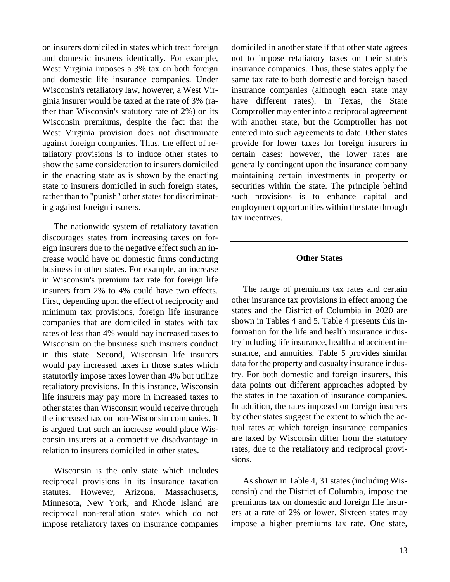on insurers domiciled in states which treat foreign and domestic insurers identically. For example, West Virginia imposes a 3% tax on both foreign and domestic life insurance companies. Under Wisconsin's retaliatory law, however, a West Virginia insurer would be taxed at the rate of 3% (rather than Wisconsin's statutory rate of 2%) on its Wisconsin premiums, despite the fact that the West Virginia provision does not discriminate against foreign companies. Thus, the effect of retaliatory provisions is to induce other states to show the same consideration to insurers domiciled in the enacting state as is shown by the enacting state to insurers domiciled in such foreign states, rather than to "punish" other states for discriminating against foreign insurers.

The nationwide system of retaliatory taxation discourages states from increasing taxes on foreign insurers due to the negative effect such an increase would have on domestic firms conducting business in other states. For example, an increase in Wisconsin's premium tax rate for foreign life insurers from 2% to 4% could have two effects. First, depending upon the effect of reciprocity and minimum tax provisions, foreign life insurance companies that are domiciled in states with tax rates of less than 4% would pay increased taxes to Wisconsin on the business such insurers conduct in this state. Second, Wisconsin life insurers would pay increased taxes in those states which statutorily impose taxes lower than 4% but utilize retaliatory provisions. In this instance, Wisconsin life insurers may pay more in increased taxes to other states than Wisconsin would receive through the increased tax on non-Wisconsin companies. It is argued that such an increase would place Wisconsin insurers at a competitive disadvantage in relation to insurers domiciled in other states.

Wisconsin is the only state which includes reciprocal provisions in its insurance taxation statutes. However, Arizona, Massachusetts, Minnesota, New York, and Rhode Island are reciprocal non-retaliation states which do not impose retaliatory taxes on insurance companies

domiciled in another state if that other state agrees not to impose retaliatory taxes on their state's insurance companies. Thus, these states apply the same tax rate to both domestic and foreign based insurance companies (although each state may have different rates). In Texas, the State Comptroller may enter into a reciprocal agreement with another state, but the Comptroller has not entered into such agreements to date. Other states provide for lower taxes for foreign insurers in certain cases; however, the lower rates are generally contingent upon the insurance company maintaining certain investments in property or securities within the state. The principle behind such provisions is to enhance capital and employment opportunities within the state through tax incentives.

#### **Other States**

The range of premiums tax rates and certain other insurance tax provisions in effect among the states and the District of Columbia in 2020 are shown in Tables 4 and 5. Table 4 presents this information for the life and health insurance industry including life insurance, health and accident insurance, and annuities. Table 5 provides similar data for the property and casualty insurance industry. For both domestic and foreign insurers, this data points out different approaches adopted by the states in the taxation of insurance companies. In addition, the rates imposed on foreign insurers by other states suggest the extent to which the actual rates at which foreign insurance companies are taxed by Wisconsin differ from the statutory rates, due to the retaliatory and reciprocal provisions.

As shown in Table 4, 31 states (including Wisconsin) and the District of Columbia, impose the premiums tax on domestic and foreign life insurers at a rate of 2% or lower. Sixteen states may impose a higher premiums tax rate. One state,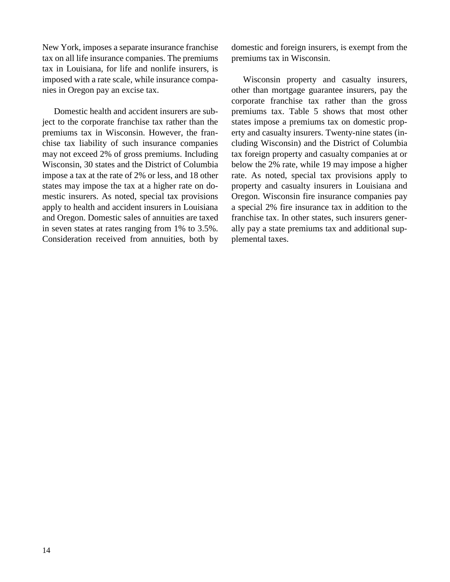New York, imposes a separate insurance franchise tax on all life insurance companies. The premiums tax in Louisiana, for life and nonlife insurers, is imposed with a rate scale, while insurance companies in Oregon pay an excise tax.

Domestic health and accident insurers are subject to the corporate franchise tax rather than the premiums tax in Wisconsin. However, the franchise tax liability of such insurance companies may not exceed 2% of gross premiums. Including Wisconsin, 30 states and the District of Columbia impose a tax at the rate of 2% or less, and 18 other states may impose the tax at a higher rate on domestic insurers. As noted, special tax provisions apply to health and accident insurers in Louisiana and Oregon. Domestic sales of annuities are taxed in seven states at rates ranging from 1% to 3.5%. Consideration received from annuities, both by domestic and foreign insurers, is exempt from the premiums tax in Wisconsin.

Wisconsin property and casualty insurers, other than mortgage guarantee insurers, pay the corporate franchise tax rather than the gross premiums tax. Table 5 shows that most other states impose a premiums tax on domestic property and casualty insurers. Twenty-nine states (including Wisconsin) and the District of Columbia tax foreign property and casualty companies at or below the 2% rate, while 19 may impose a higher rate. As noted, special tax provisions apply to property and casualty insurers in Louisiana and Oregon. Wisconsin fire insurance companies pay a special 2% fire insurance tax in addition to the franchise tax. In other states, such insurers generally pay a state premiums tax and additional supplemental taxes.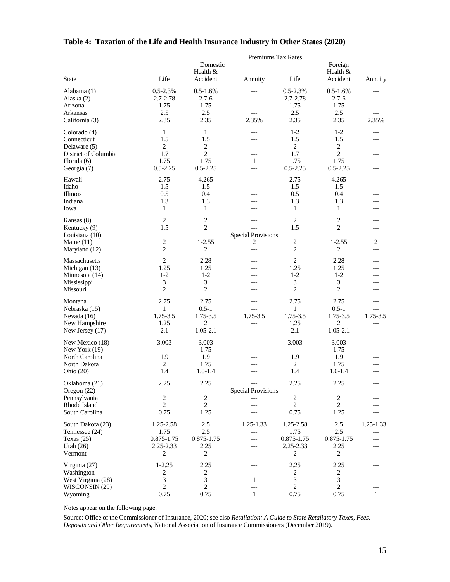|                                                                                     |                                                                  | Premiums Tax Rates                                              |                                        |                                                   |                                                                 |                          |  |
|-------------------------------------------------------------------------------------|------------------------------------------------------------------|-----------------------------------------------------------------|----------------------------------------|---------------------------------------------------|-----------------------------------------------------------------|--------------------------|--|
|                                                                                     |                                                                  | Domestic                                                        |                                        |                                                   | Foreign                                                         |                          |  |
| <b>State</b>                                                                        | Life                                                             | Health &<br>Accident                                            | Annuity                                | Life                                              | Health &<br>Accident                                            | Annuity                  |  |
| Alabama (1)<br>Alaska (2)<br>Arizona<br>Arkansas                                    | $0.5 - 2.3%$<br>$2.7 - 2.78$<br>1.75<br>2.5                      | $0.5 - 1.6%$<br>$2.7 - 6$<br>1.75<br>2.5                        | ---<br>$---$<br>---<br>$---$           | $0.5 - 2.3%$<br>2.7-2.78<br>1.75<br>2.5           | $0.5 - 1.6%$<br>$2.7 - 6$<br>1.75<br>2.5                        | ---<br>$---$             |  |
| California (3)                                                                      | 2.35                                                             | 2.35                                                            | 2.35%                                  | 2.35                                              | 2.35                                                            | 2.35%                    |  |
| Colorado (4)<br>Connecticut<br>Delaware (5)<br>District of Columbia<br>Florida (6)  | $\mathbf{1}$<br>1.5<br>2<br>1.7<br>1.75                          | $\mathbf{1}$<br>1.5<br>$\overline{c}$<br>$\overline{c}$<br>1.75 | $---$<br>$---$<br>$---$<br>1           | $1-2$<br>1.5<br>$\overline{2}$<br>1.7<br>1.75     | $1-2$<br>1.5<br>$\overline{2}$<br>$\overline{2}$<br>1.75        | ---<br>$---$<br>1        |  |
| Georgia (7)                                                                         | $0.5 - 2.25$                                                     | $0.5 - 2.25$                                                    | ---                                    | $0.5 - 2.25$                                      | $0.5 - 2.25$                                                    | ---                      |  |
| Hawaii<br>Idaho<br><b>Illinois</b><br>Indiana<br>Iowa                               | 2.75<br>1.5<br>0.5<br>1.3<br>$\mathbf{1}$                        | 4.265<br>1.5<br>0.4<br>1.3<br>$\mathbf{1}$                      | $---$<br>$---$<br>---<br>$---$         | 2.75<br>1.5<br>0.5<br>1.3<br>$\mathbf{1}$         | 4.265<br>1.5<br>0.4<br>1.3<br>$\mathbf{1}$                      |                          |  |
| Kansas $(8)$<br>Kentucky (9)<br>Louisiana (10)<br>Maine $(11)$                      | $\overline{2}$<br>1.5<br>$\mathbf{2}$                            | $\overline{c}$<br>$\overline{2}$<br>$1 - 2.55$                  | <b>Special Provisions</b><br>2         | 2<br>1.5<br>$\overline{c}$                        | 2<br>$\overline{2}$<br>$1 - 2.55$                               | ---<br>2                 |  |
| Maryland (12)                                                                       | $\mathfrak{2}$                                                   | 2                                                               |                                        | 2                                                 | $\overline{c}$                                                  | ---                      |  |
| Massachusetts<br>Michigan (13)<br>Minnesota (14)<br>Mississippi<br>Missouri         | $\overline{2}$<br>1.25<br>$1-2$<br>3<br>$\overline{2}$           | 2.28<br>1.25<br>$1-2$<br>3<br>$\overline{c}$                    | $---$<br>$---$<br>---<br>---           | $\overline{2}$<br>1.25<br>$1-2$<br>3<br>2         | 2.28<br>1.25<br>$1 - 2$<br>3<br>$\overline{2}$                  |                          |  |
| Montana<br>Nebraska (15)<br>Nevada (16)<br>New Hampshire<br>New Jersey (17)         | 2.75<br>1<br>1.75-3.5<br>1.25<br>2.1                             | 2.75<br>$0.5 - 1$<br>1.75-3.5<br>$\overline{c}$<br>$1.05 - 2.1$ | ---<br>---<br>1.75-3.5<br>$---$<br>--- | 2.75<br>1<br>1.75-3.5<br>1.25<br>2.1              | 2.75<br>$0.5 - 1$<br>1.75-3.5<br>$\overline{c}$<br>$1.05 - 2.1$ | 1.75-3.5<br>$---$<br>--- |  |
| New Mexico (18)<br>New York $(19)$<br>North Carolina<br>North Dakota<br>Ohio $(20)$ | 3.003<br>$---$<br>1.9<br>2<br>1.4                                | 3.003<br>1.75<br>1.9<br>1.75<br>$1.0 - 1.4$                     | $---$<br>$---$                         | 3.003<br>$\overline{a}$<br>1.9<br>2<br>1.4        | 3.003<br>1.75<br>1.9<br>1.75<br>$1.0 - 1.4$                     | ---                      |  |
| Oklahoma (21)                                                                       | 2.25                                                             | 2.25                                                            |                                        | 2.25                                              | 2.25                                                            |                          |  |
| Oregon $(22)$<br>Pennsylvania<br>Rhode Island<br>South Carolina                     | $\boldsymbol{2}$<br>$\overline{2}$<br>0.75                       | $\overline{c}$<br>$\overline{2}$<br>1.25                        | <b>Special Provisions</b>              | $\overline{c}$<br>$\overline{c}$<br>0.75          | $\overline{c}$<br>$\overline{c}$<br>1.25                        |                          |  |
| South Dakota (23)<br>Tennessee (24)<br>Texas $(25)$<br>Utah $(26)$<br>Vermont       | 1.25-2.58<br>1.75<br>0.875-1.75<br>2.25-2.33<br>$\boldsymbol{2}$ | 2.5<br>2.5<br>0.875-1.75<br>2.25<br>2                           | 1.25-1.33<br>$---$                     | 1.25-2.58<br>1.75<br>0.875-1.75<br>2.25-2.33<br>2 | 2.5<br>2.5<br>0.875-1.75<br>2.25<br>2                           | 1.25-1.33                |  |
| Virginia (27)<br>Washington<br>West Virginia (28)<br>WISCONSIN (29)<br>Wyoming      | $1 - 2.25$<br>2<br>$\mathfrak{Z}$<br>$\mathbf{2}$<br>0.75        | 2.25<br>2<br>3<br>$\overline{c}$<br>0.75                        | 1<br>1                                 | 2.25<br>2<br>3<br>$\overline{c}$<br>0.75          | 2.25<br>2<br>3<br>$\overline{c}$<br>0.75                        | 1<br>---<br>1            |  |

### **Table 4: Taxation of the Life and Health Insurance Industry in Other States (2020)**

Notes appear on the following page.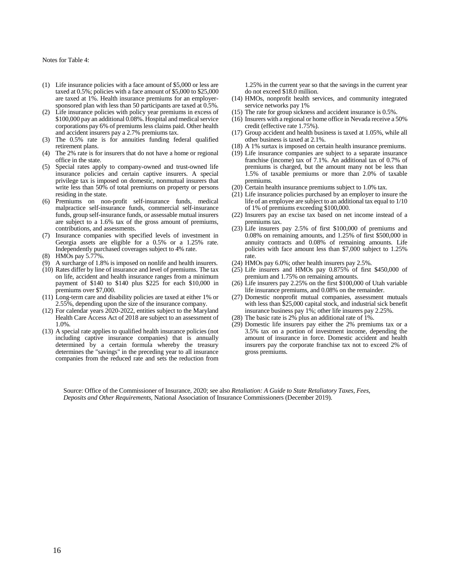#### Notes for Table 4:

- (1) Life insurance policies with a face amount of \$5,000 or less are taxed at 0.5%; policies with a face amount of \$5,000 to \$25,000 are taxed at 1%. Health insurance premiums for an employersponsored plan with less than 50 participants are taxed at 0.5%.
- (2) Life insurance policies with policy year premiums in excess of \$100,000 pay an additional 0.08%. Hospital and medical service corporations pay 6% of premiums less claims paid. Other health and accident insurers pay a 2.7% premiums tax.
- (3) The 0.5% rate is for annuities funding federal qualified retirement plans.
- (4) The 2% rate is for insurers that do not have a home or regional office in the state.
- (5) Special rates apply to company-owned and trust-owned life insurance policies and certain captive insurers. A special privilege tax is imposed on domestic, nonmutual insurers that write less than 50% of total premiums on property or persons residing in the state.
- (6) Premiums on non-profit self-insurance funds, medical malpractice self-insurance funds, commercial self-insurance funds, group self-insurance funds, or assessable mutual insurers are subject to a 1.6% tax of the gross amount of premiums, contributions, and assessments.
- (7) Insurance companies with specified levels of investment in Georgia assets are eligible for a 0.5% or a 1.25% rate. Independently purchased coverages subject to 4% rate.
- (8) HMOs pay 5.77%.
- (9) A surcharge of 1.8% is imposed on nonlife and health insurers.
- (10) Rates differ by line of insurance and level of premiums. The tax on life, accident and health insurance ranges from a minimum payment of \$140 to \$140 plus \$225 for each \$10,000 in premiums over \$7,000.
- (11) Long-term care and disability policies are taxed at either 1% or 2.55%, depending upon the size of the insurance company.
- (12) For calendar years 2020-2022, entities subject to the Maryland Health Care Access Act of 2018 are subject to an assessment of 1.0%.
- (13) A special rate applies to qualified health insurance policies (not including captive insurance companies) that is annually determined by a certain formula whereby the treasury determines the "savings" in the preceding year to all insurance companies from the reduced rate and sets the reduction from

1.25% in the current year so that the savings in the current year do not exceed \$18.0 million.

- (14) HMOs, nonprofit health services, and community integrated service networks pay 1%
- (15) The rate for group sickness and accident insurance is 0.5%.
- (16) Insurers with a regional or home office in Nevada receive a 50% credit (effective rate 1.75%).
- (17) Group accident and health business is taxed at 1.05%, while all other business is taxed at 2.1%.
- (18) A 1% surtax is imposed on certain health insurance premiums.
- (19) Life insurance companies are subject to a separate insurance franchise (income) tax of 7.1%. An additional tax of 0.7% of premiums is charged, but the amount many not be less than 1.5% of taxable premiums or more than 2.0% of taxable premiums.
- (20) Certain health insurance premiums subject to 1.0% tax.
- (21) Life insurance policies purchased by an employer to insure the life of an employee are subject to an additional tax equal to 1/10 of 1% of premiums exceeding \$100,000.
- (22) Insurers pay an excise tax based on net income instead of a premiums tax.
- (23) Life insurers pay 2.5% of first \$100,000 of premiums and 0.08% on remaining amounts, and 1.25% of first \$500,000 in annuity contracts and 0.08% of remaining amounts. Life policies with face amount less than \$7,000 subject to 1.25% rate.
- (24) HMOs pay 6.0%; other health insurers pay 2.5%.
- (25) Life insurers and HMOs pay 0.875% of first \$450,000 of premium and 1.75% on remaining amounts.
- (26) Life insurers pay 2.25% on the first \$100,000 of Utah variable life insurance premiums, and 0.08% on the remainder.
- (27) Domestic nonprofit mutual companies, assessment mutuals with less than \$25,000 capital stock, and industrial sick benefit insurance business pay 1%; other life insurers pay 2.25%.
- (28) The basic rate is 2% plus an additional rate of 1%.
- (29) Domestic life insurers pay either the 2% premiums tax or a 3.5% tax on a portion of investment income, depending the amount of insurance in force. Domestic accident and health insurers pay the corporate franchise tax not to exceed 2% of gross premiums.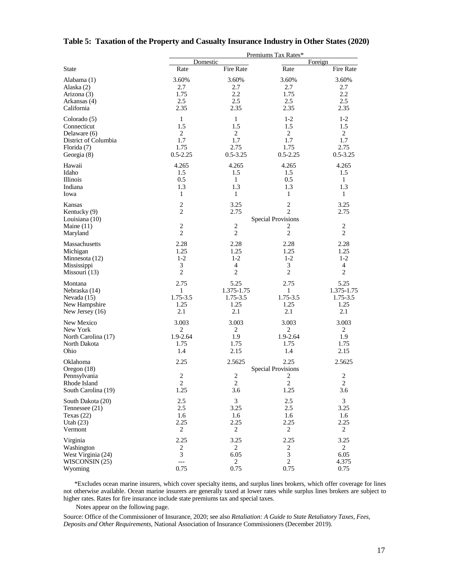|  |  | Table 5: Taxation of the Property and Casualty Insurance Industry in Other States (2020) |  |  |
|--|--|------------------------------------------------------------------------------------------|--|--|
|  |  |                                                                                          |  |  |

|                                                                                  |                                                                  | Premiums Tax Rates*                               |                                                                                                   |                                                     |  |  |
|----------------------------------------------------------------------------------|------------------------------------------------------------------|---------------------------------------------------|---------------------------------------------------------------------------------------------------|-----------------------------------------------------|--|--|
|                                                                                  | Domestic                                                         |                                                   |                                                                                                   | Foreign                                             |  |  |
| <b>State</b>                                                                     | Rate                                                             | Fire Rate                                         | Rate                                                                                              | Fire Rate                                           |  |  |
| Alabama (1)                                                                      | 3.60%                                                            | 3.60%                                             | 3.60%                                                                                             | 3.60%                                               |  |  |
| Alaska (2)                                                                       | 2.7                                                              | 2.7                                               | 2.7                                                                                               | 2.7                                                 |  |  |
| Arizona (3)                                                                      | 1.75                                                             | 2.2                                               | 1.75                                                                                              | 2.2                                                 |  |  |
| Arkansas (4)                                                                     | 2.5                                                              | 2.5                                               | 2.5                                                                                               | 2.5                                                 |  |  |
| California                                                                       | 2.35                                                             | 2.35                                              | 2.35                                                                                              | 2.35                                                |  |  |
| Colorado (5)                                                                     | $\mathbf{1}$                                                     | $\mathbf{1}$                                      | $1-2$                                                                                             | $1-2$                                               |  |  |
| Connecticut                                                                      | 1.5                                                              | 1.5                                               | 1.5                                                                                               | 1.5                                                 |  |  |
| Delaware (6)                                                                     | 2                                                                | 2                                                 | 2                                                                                                 | 2                                                   |  |  |
| District of Columbia                                                             | 1.7                                                              | 1.7                                               | 1.7                                                                                               | 1.7                                                 |  |  |
| Florida (7)                                                                      | 1.75                                                             | 2.75                                              | 1.75                                                                                              | 2.75                                                |  |  |
| Georgia (8)                                                                      | $0.5 - 2.25$                                                     | $0.5 - 3.25$                                      | $0.5 - 2.25$                                                                                      | $0.5 - 3.25$                                        |  |  |
| Hawaii                                                                           | 4.265                                                            | 4.265                                             | 4.265                                                                                             | 4.265                                               |  |  |
| Idaho                                                                            | 1.5                                                              | 1.5                                               | 1.5                                                                                               | 1.5                                                 |  |  |
| <b>Illinois</b>                                                                  | 0.5                                                              | $\mathbf{1}$                                      | 0.5                                                                                               | 1                                                   |  |  |
| Indiana                                                                          | 1.3                                                              | 1.3                                               | 1.3                                                                                               | 1.3                                                 |  |  |
| Iowa                                                                             | 1                                                                | $\mathbf{1}$                                      | 1                                                                                                 | 1                                                   |  |  |
| Kansas<br>Kentucky (9)<br>Louisiana (10)<br>Maine $(11)$<br>Maryland             | $\overline{c}$<br>$\overline{2}$<br>$\sqrt{2}$<br>$\overline{c}$ | 3.25<br>2.75<br>2<br>$\overline{c}$               | $\overline{2}$<br>$\overline{2}$<br><b>Special Provisions</b><br>$\overline{c}$<br>$\overline{c}$ | 3.25<br>2.75<br>$\overline{c}$<br>$\overline{c}$    |  |  |
| Massachusetts                                                                    | 2.28                                                             | 2.28                                              | 2.28                                                                                              | 2.28                                                |  |  |
| Michigan                                                                         | 1.25                                                             | 1.25                                              | 1.25                                                                                              | 1.25                                                |  |  |
| Minnesota (12)                                                                   | $1-2$                                                            | $1-2$                                             | $1-2$                                                                                             | $1-2$                                               |  |  |
| Mississippi                                                                      | $\ensuremath{\mathfrak{Z}}$                                      | $\overline{4}$                                    | 3                                                                                                 | $\overline{4}$                                      |  |  |
| Missouri (13)                                                                    | $\overline{2}$                                                   | $\overline{c}$                                    | $\overline{2}$                                                                                    | $\overline{c}$                                      |  |  |
| Montana                                                                          | 2.75                                                             | 5.25                                              | 2.75                                                                                              | 5.25                                                |  |  |
| Nebraska (14)                                                                    | 1                                                                | 1.375-1.75                                        | $\mathbf{1}$                                                                                      | 1.375-1.75                                          |  |  |
| Nevada (15)                                                                      | 1.75-3.5                                                         | 1.75-3.5                                          | 1.75-3.5                                                                                          | 1.75-3.5                                            |  |  |
| New Hampshire                                                                    | 1.25                                                             | 1.25                                              | 1.25                                                                                              | 1.25                                                |  |  |
| New Jersey (16)                                                                  | 2.1                                                              | 2.1                                               | 2.1                                                                                               | 2.1                                                 |  |  |
| New Mexico                                                                       | 3.003                                                            | 3.003                                             | 3.003                                                                                             | 3.003                                               |  |  |
| New York                                                                         | 2                                                                | 2                                                 | 2                                                                                                 | 2                                                   |  |  |
| North Carolina (17)                                                              | 1.9-2.64                                                         | 1.9                                               | 1.9-2.64                                                                                          | 1.9                                                 |  |  |
| North Dakota                                                                     | 1.75                                                             | 1.75                                              | 1.75                                                                                              | 1.75                                                |  |  |
| Ohio                                                                             | 1.4                                                              | 2.15                                              | 1.4                                                                                               | 2.15                                                |  |  |
| Oklahoma<br>Oregon $(18)$<br>Pennsylvania<br>Rhode Island<br>South Carolina (19) | 2.25<br>$\overline{2}$<br>$\sqrt{2}$<br>1.25                     | 2.5625<br>$\overline{2}$<br>$\overline{c}$<br>3.6 | 2.25<br><b>Special Provisions</b><br>2<br>$\overline{c}$<br>1.25                                  | 2.5625<br>$\overline{2}$<br>$\boldsymbol{2}$<br>3.6 |  |  |
| South Dakota (20)                                                                | 2.5                                                              | 3                                                 | 2.5                                                                                               | 3                                                   |  |  |
| Tennessee (21)                                                                   | 2.5                                                              | 3.25                                              | 2.5                                                                                               | 3.25                                                |  |  |
| Texas $(22)$                                                                     | 1.6                                                              | 1.6                                               | 1.6                                                                                               | 1.6                                                 |  |  |
| Utah $(23)$                                                                      | 2.25                                                             | 2.25                                              | 2.25                                                                                              | 2.25                                                |  |  |
| Vermont                                                                          | $\overline{c}$                                                   | $\overline{c}$                                    | 2                                                                                                 | $\overline{2}$                                      |  |  |
| Virginia                                                                         | 2.25                                                             | 3.25                                              | 2.25                                                                                              | 3.25                                                |  |  |
| Washington                                                                       | 2                                                                | 2                                                 | $\overline{c}$                                                                                    | $\overline{2}$                                      |  |  |
| West Virginia (24)                                                               | $\ensuremath{\mathfrak{Z}}$                                      | 6.05                                              | $\mathfrak{Z}$                                                                                    | 6.05                                                |  |  |
| WISCONSIN (25)                                                                   | ---                                                              | $\overline{c}$                                    | $\overline{c}$                                                                                    | 4.375                                               |  |  |
| Wyoming                                                                          | 0.75                                                             | 0.75                                              | 0.75                                                                                              | 0.75                                                |  |  |

\*Excludes ocean marine insurers, which cover specialty items, and surplus lines brokers, which offer coverage for lines not otherwise available. Ocean marine insurers are generally taxed at lower rates while surplus lines brokers are subject to higher rates. Rates for fire insurance include state premiums tax and special taxes.

Notes appear on the following page.